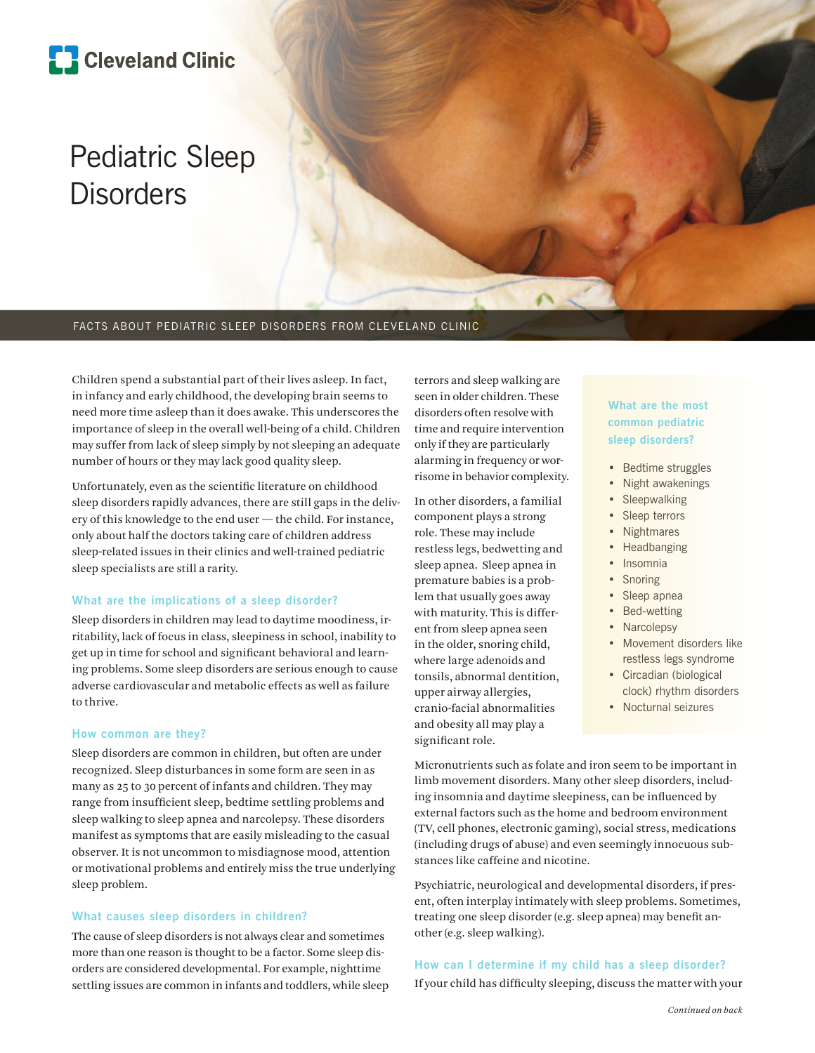

# Pediatric Sleep **Disorders**

#### FACTS ABOUT PEDIATRIC SLEEP DISORDERS FROM CLEVELAND CLINIC

Children spend a substantial part of their lives asleep. In fact, in infancy and early childhood, the developing brain seems to need more time asleep than it does awake. This underscores the importance of sleep in the overall well-being of a child. Children may suffer from lack of sleep simply by not sleeping an adequate number of hours or they may lack good quality sleep.

Unfortunately, even as the scientific literature on childhood sleep disorders rapidly advances, there are still gaps in the delivery of this knowledge to the end user — the child. For instance, only about half the doctors taking care of children address sleep-related issues in their clinics and well-trained pediatric sleep specialists are still a rarity.

#### **What are the implications of a sleep disorder?**

Sleep disorders in children may lead to daytime moodiness, irritability, lack of focus in class, sleepiness in school, inability to get up in time for school and significant behavioral and learning problems. Some sleep disorders are serious enough to cause adverse cardiovascular and metabolic effects as well as failure to thrive.

#### **How common are they?**

Sleep disorders are common in children, but often are under recognized. Sleep disturbances in some form are seen in as many as 25 to 30 percent of infants and children. They may range from insufficient sleep, bedtime settling problems and sleep walking to sleep apnea and narcolepsy. These disorders manifest as symptoms that are easily misleading to the casual observer. It is not uncommon to misdiagnose mood, attention or motivational problems and entirely miss the true underlying sleep problem.

#### **What causes sleep disorders in children?**

The cause of sleep disorders is not always clear and sometimes more than one reason is thought to be a factor. Some sleep disorders are considered developmental. For example, nighttime settling issues are common in infants and toddlers, while sleep terrors and sleep walking are seen in older children. These disorders often resolve with time and require intervention only if they are particularly alarming in frequency or worrisome in behavior complexity.

In other disorders, a familial component plays a strong role. These may include restless legs, bedwetting and sleep apnea. Sleep apnea in premature babies is a problem that usually goes away with maturity. This is different from sleep apnea seen in the older, snoring child, where large adenoids and tonsils, abnormal dentition, upper airway allergies, cranio-facial abnormalities and obesity all may play a significant role.

### **What are the most common pediatric sleep disorders?**

- Bedtime struggles
- Night awakenings
- Sleepwalking
- Sleep terrors
- Nightmares
- Headbanging
- Insomnia
- Snoring
- Sleep apnea
- Bed-wetting
- Narcolepsy
- Movement disorders like restless legs syndrome
- Circadian (biological clock) rhythm disorders
- Nocturnal seizures

Micronutrients such as folate and iron seem to be important in limb movement disorders. Many other sleep disorders, including insomnia and daytime sleepiness, can be influenced by external factors such as the home and bedroom environment (TV, cell phones, electronic gaming), social stress, medications (including drugs of abuse) and even seemingly innocuous substances like caffeine and nicotine.

Psychiatric, neurological and developmental disorders, if present, often interplay intimately with sleep problems. Sometimes, treating one sleep disorder (e.g. sleep apnea) may benefit another (e.g. sleep walking).

## **How can I determine if my child has a sleep disorder?**

If your child has difficulty sleeping, discuss the matter with your